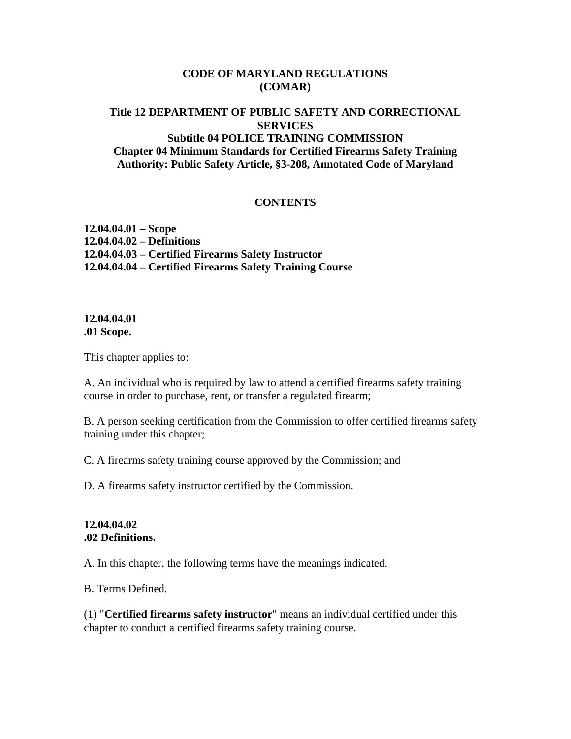### **CODE OF MARYLAND REGULATIONS (COMAR)**

### **Title 12 DEPARTMENT OF PUBLIC SAFETY AND CORRECTIONAL SERVICES Subtitle 04 POLICE TRAINING COMMISSION Chapter 04 Minimum Standards for Certified Firearms Safety Training Authority: Public Safety Article, §3-208, Annotated Code of Maryland**

#### **CONTENTS**

**12.04.04.01 – Scope 12.04.04.02 – Definitions 12.04.04.03 – Certified Firearms Safety Instructor 12.04.04.04 – Certified Firearms Safety Training Course** 

#### **12.04.04.01 .01 Scope.**

This chapter applies to:

A. An individual who is required by law to attend a certified firearms safety training course in order to purchase, rent, or transfer a regulated firearm;

B. A person seeking certification from the Commission to offer certified firearms safety training under this chapter;

C. A firearms safety training course approved by the Commission; and

D. A firearms safety instructor certified by the Commission.

#### **12.04.04.02 .02 Definitions.**

A. In this chapter, the following terms have the meanings indicated.

B. Terms Defined.

(1) "**Certified firearms safety instructor**" means an individual certified under this chapter to conduct a certified firearms safety training course.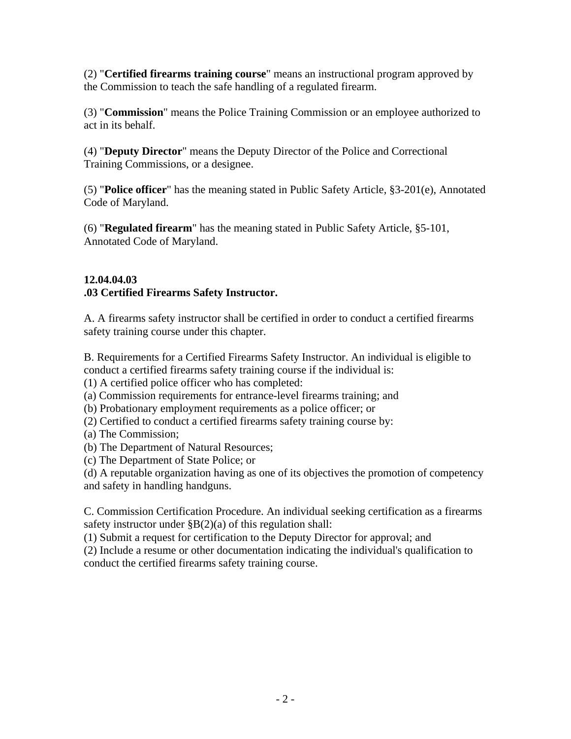(2) "**Certified firearms training course**" means an instructional program approved by the Commission to teach the safe handling of a regulated firearm.

(3) "**Commission**" means the Police Training Commission or an employee authorized to act in its behalf.

(4) "**Deputy Director**" means the Deputy Director of the Police and Correctional Training Commissions, or a designee.

(5) "**Police officer**" has the meaning stated in Public Safety Article, §3-201(e), Annotated Code of Maryland.

(6) "**Regulated firearm**" has the meaning stated in Public Safety Article, §5-101, Annotated Code of Maryland.

# **12.04.04.03**

## **.03 Certified Firearms Safety Instructor.**

A. A firearms safety instructor shall be certified in order to conduct a certified firearms safety training course under this chapter.

B. Requirements for a Certified Firearms Safety Instructor. An individual is eligible to conduct a certified firearms safety training course if the individual is:

(1) A certified police officer who has completed:

(a) Commission requirements for entrance-level firearms training; and

(b) Probationary employment requirements as a police officer; or

- (2) Certified to conduct a certified firearms safety training course by:
- (a) The Commission;
- (b) The Department of Natural Resources;
- (c) The Department of State Police; or

(d) A reputable organization having as one of its objectives the promotion of competency and safety in handling handguns.

C. Commission Certification Procedure. An individual seeking certification as a firearms safety instructor under  $\S B(2)(a)$  of this regulation shall:

(1) Submit a request for certification to the Deputy Director for approval; and

(2) Include a resume or other documentation indicating the individual's qualification to conduct the certified firearms safety training course.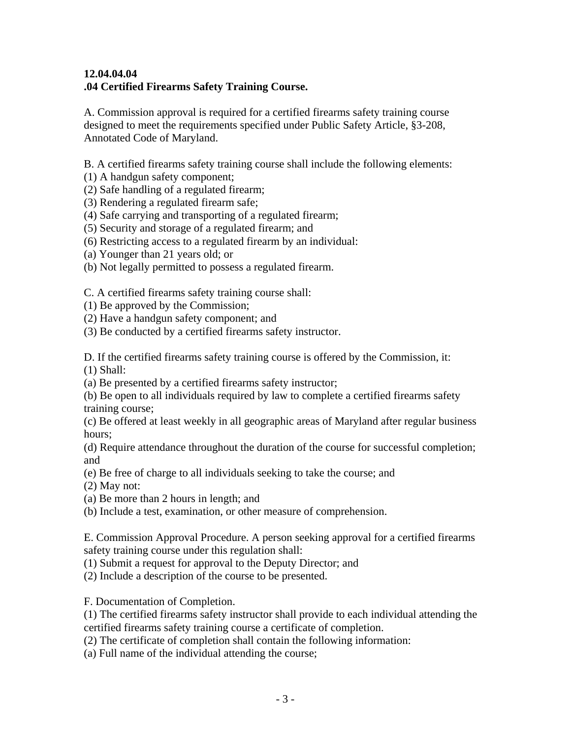## **12.04.04.04 .04 Certified Firearms Safety Training Course.**

A. Commission approval is required for a certified firearms safety training course designed to meet the requirements specified under Public Safety Article, §3-208, Annotated Code of Maryland.

B. A certified firearms safety training course shall include the following elements:

(1) A handgun safety component;

(2) Safe handling of a regulated firearm;

(3) Rendering a regulated firearm safe;

(4) Safe carrying and transporting of a regulated firearm;

(5) Security and storage of a regulated firearm; and

(6) Restricting access to a regulated firearm by an individual:

(a) Younger than 21 years old; or

(b) Not legally permitted to possess a regulated firearm.

C. A certified firearms safety training course shall:

(1) Be approved by the Commission;

(2) Have a handgun safety component; and

(3) Be conducted by a certified firearms safety instructor.

D. If the certified firearms safety training course is offered by the Commission, it: (1) Shall:

(a) Be presented by a certified firearms safety instructor;

(b) Be open to all individuals required by law to complete a certified firearms safety training course;

(c) Be offered at least weekly in all geographic areas of Maryland after regular business hours;

(d) Require attendance throughout the duration of the course for successful completion; and

(e) Be free of charge to all individuals seeking to take the course; and

(2) May not:

(a) Be more than 2 hours in length; and

(b) Include a test, examination, or other measure of comprehension.

E. Commission Approval Procedure. A person seeking approval for a certified firearms safety training course under this regulation shall:

(1) Submit a request for approval to the Deputy Director; and

(2) Include a description of the course to be presented.

F. Documentation of Completion.

(1) The certified firearms safety instructor shall provide to each individual attending the certified firearms safety training course a certificate of completion.

(2) The certificate of completion shall contain the following information:

(a) Full name of the individual attending the course;